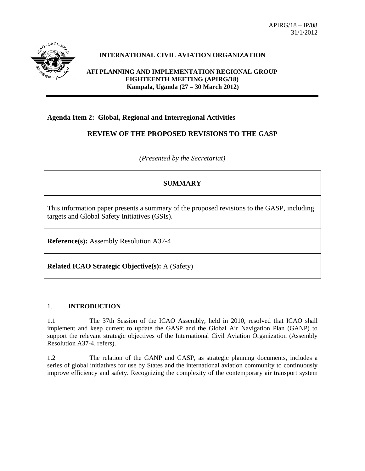$APIRG/18 - IP/08$ 31/1/2012



# **INTERNATIONAL CIVIL AVIATION ORGANIZATION**

**AFI PLANNING AND IMPLEMENTATION REGIONAL GROUP EIGHTEENTH MEETING (APIRG/18) Kampala, Uganda (27 – 30 March 2012)**

## **Agenda Item 2: Global, Regional and Interregional Activities**

## **REVIEW OF THE PROPOSED REVISIONS TO THE GASP**

*(Presented by the Secretariat)*

## **SUMMARY**

This information paper presents a summary of the proposed revisions to the GASP, including targets and Global Safety Initiatives (GSIs).

**Reference(s):** Assembly Resolution A37-4

**Related ICAO Strategic Objective(s):** A (Safety)

#### 1. **INTRODUCTION**

1.1 The 37th Session of the ICAO Assembly, held in 2010, resolved that ICAO shall implement and keep current to update the GASP and the Global Air Navigation Plan (GANP) to support the relevant strategic objectives of the International Civil Aviation Organization (Assembly Resolution A37-4, refers).

1.2 The relation of the GANP and GASP, as strategic planning documents, includes a series of global initiatives for use by States and the international aviation community to continuously improve efficiency and safety. Recognizing the complexity of the contemporary air transport system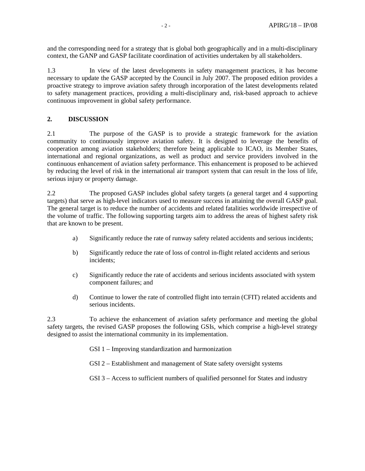and the corresponding need for a strategy that is global both geographically and in a multi-disciplinary context, the GANP and GASP facilitate coordination of activities undertaken by all stakeholders.

1.3 In view of the latest developments in safety management practices, it has become necessary to update the GASP accepted by the Council in July 2007. The proposed edition provides a proactive strategy to improve aviation safety through incorporation of the latest developments related to safety management practices, providing a multi-disciplinary and, risk-based approach to achieve continuous improvement in global safety performance.

## **2. DISCUSSION**

2.1 The purpose of the GASP is to provide a strategic framework for the aviation community to continuously improve aviation safety. It is designed to leverage the benefits of cooperation among aviation stakeholders; therefore being applicable to ICAO, its Member States, international and regional organizations, as well as product and service providers involved in the continuous enhancement of aviation safety performance. This enhancement is proposed to be achieved by reducing the level of risk in the international air transport system that can result in the loss of life, serious injury or property damage.

2.2 The proposed GASP includes global safety targets (a general target and 4 supporting targets) that serve as high-level indicators used to measure success in attaining the overall GASP goal. The general target is to reduce the number of accidents and related fatalities worldwide irrespective of the volume of traffic. The following supporting targets aim to address the areas of highest safety risk that are known to be present.

- a) Significantly reduce the rate of runway safety related accidents and serious incidents;
- b) Significantly reduce the rate of loss of control in-flight related accidents and serious incidents;
- c) Significantly reduce the rate of accidents and serious incidents associated with system component failures; and
- d) Continue to lower the rate of controlled flight into terrain (CFIT) related accidents and serious incidents.

2.3 To achieve the enhancement of aviation safety performance and meeting the global safety targets, the revised GASP proposes the following GSIs, which comprise a high-level strategy designed to assist the international community in its implementation.

GSI 1 – Improving standardization and harmonization

GSI 2 – Establishment and management of State safety oversight systems

GSI 3 – Access to sufficient numbers of qualified personnel for States and industry